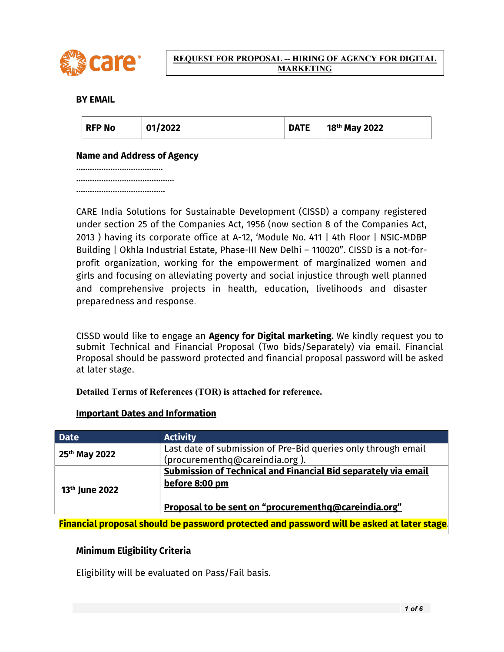

#### REQUEST FOR PROPOSAL -- HIRING OF AGENCY FOR DIGITAL MARKETING

# BY EMAIL

| 01/2022<br><b>RFP No</b> | <b>DATE</b> | 18 <sup>th</sup> May 2022 |
|--------------------------|-------------|---------------------------|
|--------------------------|-------------|---------------------------|

### Name and Address of Agency

……………………………… ……………………………………… ……………………………

CARE India Solutions for Sustainable Development (CISSD) a company registered under section 25 of the Companies Act, 1956 (now section 8 of the Companies Act, 2013 ) having its corporate office at A-12, 'Module No. 411 | 4th Floor | NSIC-MDBP Building | Okhla Industrial Estate, Phase-III New Delhi – 110020". CISSD is a not-forprofit organization, working for the empowerment of marginalized women and girls and focusing on alleviating poverty and social injustice through well planned and comprehensive projects in health, education, livelihoods and disaster preparedness and response.

CISSD would like to engage an Agency for Digital marketing. We kindly request you to submit Technical and Financial Proposal (Two bids/Separately) via email. Financial Proposal should be password protected and financial proposal password will be asked at later stage.

Detailed Terms of References (TOR) is attached for reference.

#### Important Dates and Information

| <b>Date</b>                                                                                       | <b>Activity</b>                                                                                  |  |
|---------------------------------------------------------------------------------------------------|--------------------------------------------------------------------------------------------------|--|
| 25 <sup>th</sup> May 2022                                                                         | Last date of submission of Pre-Bid queries only through email                                    |  |
|                                                                                                   | (procurementhq@careindia.org).<br>Submission of Technical and Financial Bid separately via email |  |
|                                                                                                   |                                                                                                  |  |
| 13 <sup>th</sup> June 2022                                                                        | before 8:00 pm                                                                                   |  |
|                                                                                                   |                                                                                                  |  |
|                                                                                                   | <u>Proposal to be sent on "procurementhq@careindia.org"</u>                                      |  |
|                                                                                                   |                                                                                                  |  |
| $\mid$ Financial proposal should be password protected and password will be asked at later stage. |                                                                                                  |  |

# Minimum Eligibility Criteria

Eligibility will be evaluated on Pass/Fail basis.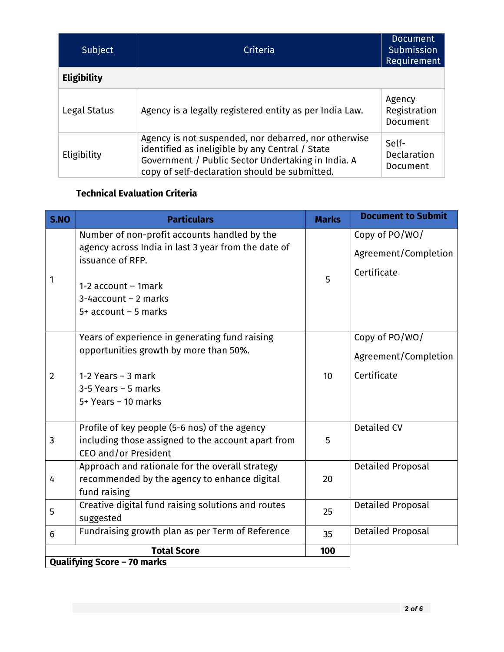| Subject            | Criteria                                                                                                                                                                                                       | <b>Document</b><br>Submission<br>Requirement |
|--------------------|----------------------------------------------------------------------------------------------------------------------------------------------------------------------------------------------------------------|----------------------------------------------|
| <b>Eligibility</b> |                                                                                                                                                                                                                |                                              |
| Legal Status       | Agency is a legally registered entity as per India Law.                                                                                                                                                        | Agency<br>Registration<br>Document           |
| Eligibility        | Agency is not suspended, nor debarred, nor otherwise<br>identified as ineligible by any Central / State<br>Government / Public Sector Undertaking in India. A<br>copy of self-declaration should be submitted. | Self-<br>Declaration<br>Document             |

# Technical Evaluation Criteria

| <b>S.NO</b>    | <b>Particulars</b>                                                      | <b>Marks</b> | <b>Document to Submit</b> |
|----------------|-------------------------------------------------------------------------|--------------|---------------------------|
|                | Number of non-profit accounts handled by the                            |              | Copy of PO/WO/            |
|                | agency across India in last 3 year from the date of<br>issuance of RFP. |              | Agreement/Completion      |
|                |                                                                         |              | Certificate               |
| 1              | 1-2 $account - 1mark$                                                   | 5            |                           |
|                | 3-4account - 2 marks                                                    |              |                           |
|                | $5+$ account - 5 marks                                                  |              |                           |
|                | Years of experience in generating fund raising                          |              | Copy of PO/WO/            |
| $\overline{2}$ | opportunities growth by more than 50%.                                  |              |                           |
|                |                                                                         |              | Agreement/Completion      |
|                | 1-2 Years $-$ 3 mark                                                    | 10           | Certificate               |
|                | $3-5$ Years - 5 marks                                                   |              |                           |
|                | 5+ Years - 10 marks                                                     |              |                           |
|                | Profile of key people (5-6 nos) of the agency                           |              | <b>Detailed CV</b>        |
| 3              | including those assigned to the account apart from                      | 5            |                           |
|                | CEO and/or President                                                    |              |                           |
| 4              | Approach and rationale for the overall strategy                         |              | <b>Detailed Proposal</b>  |
|                | recommended by the agency to enhance digital<br>fund raising            | 20           |                           |
| 5              | Creative digital fund raising solutions and routes                      |              | <b>Detailed Proposal</b>  |
|                | suggested                                                               | 25           |                           |
| 6              | Fundraising growth plan as per Term of Reference                        | 35           | Detailed Proposal         |
|                | <b>Total Score</b>                                                      | 100          |                           |
|                | <b>Qualifying Score - 70 marks</b>                                      |              |                           |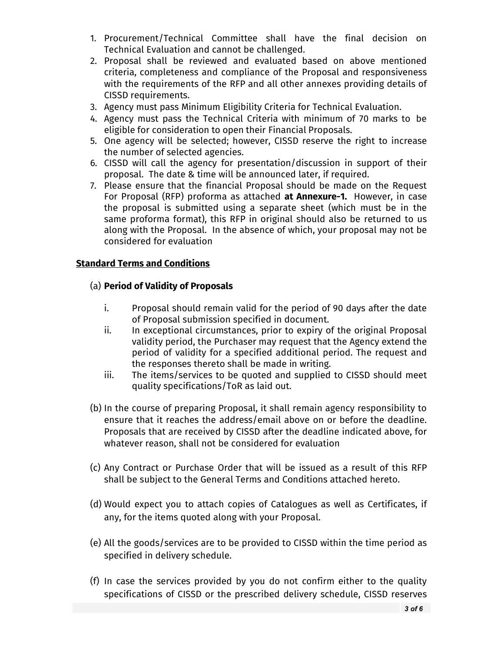- 1. Procurement/Technical Committee shall have the final decision on Technical Evaluation and cannot be challenged.
- 2. Proposal shall be reviewed and evaluated based on above mentioned criteria, completeness and compliance of the Proposal and responsiveness with the requirements of the RFP and all other annexes providing details of CISSD requirements.
- 3. Agency must pass Minimum Eligibility Criteria for Technical Evaluation.
- 4. Agency must pass the Technical Criteria with minimum of 70 marks to be eligible for consideration to open their Financial Proposals.
- 5. One agency will be selected; however, CISSD reserve the right to increase the number of selected agencies.
- 6. CISSD will call the agency for presentation/discussion in support of their proposal. The date & time will be announced later, if required.
- 7. Please ensure that the financial Proposal should be made on the Request For Proposal (RFP) proforma as attached at Annexure-1. However, in case the proposal is submitted using a separate sheet (which must be in the same proforma format), this RFP in original should also be returned to us along with the Proposal. In the absence of which, your proposal may not be considered for evaluation

### Standard Terms and Conditions

#### (a) Period of Validity of Proposals

- i. Proposal should remain valid for the period of 90 days after the date of Proposal submission specified in document.
- ii. In exceptional circumstances, prior to expiry of the original Proposal validity period, the Purchaser may request that the Agency extend the period of validity for a specified additional period. The request and the responses thereto shall be made in writing.
- iii. The items/services to be quoted and supplied to CISSD should meet quality specifications/ToR as laid out.
- (b) In the course of preparing Proposal, it shall remain agency responsibility to ensure that it reaches the address/email above on or before the deadline. Proposals that are received by CISSD after the deadline indicated above, for whatever reason, shall not be considered for evaluation
- (c) Any Contract or Purchase Order that will be issued as a result of this RFP shall be subject to the General Terms and Conditions attached hereto.
- (d) Would expect you to attach copies of Catalogues as well as Certificates, if any, for the items quoted along with your Proposal.
- (e) All the goods/services are to be provided to CISSD within the time period as specified in delivery schedule.
- (f) In case the services provided by you do not confirm either to the quality specifications of CISSD or the prescribed delivery schedule, CISSD reserves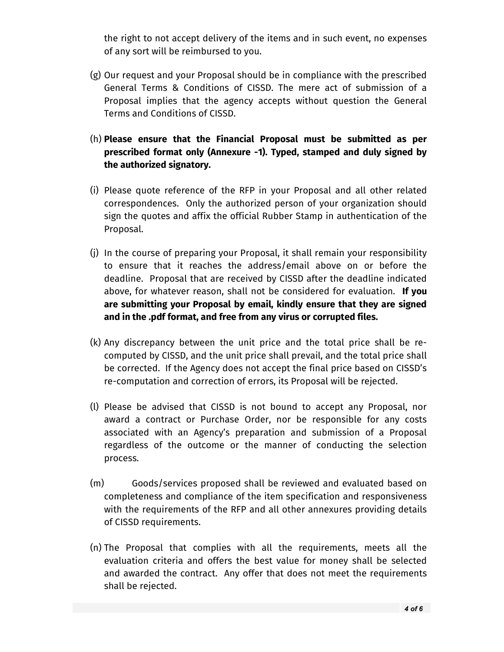the right to not accept delivery of the items and in such event, no expenses of any sort will be reimbursed to you.

- (g) Our request and your Proposal should be in compliance with the prescribed General Terms & Conditions of CISSD. The mere act of submission of a Proposal implies that the agency accepts without question the General Terms and Conditions of CISSD.
- (h) Please ensure that the Financial Proposal must be submitted as per prescribed format only (Annexure -1). Typed, stamped and duly signed by the authorized signatory.
- (i) Please quote reference of the RFP in your Proposal and all other related correspondences. Only the authorized person of your organization should sign the quotes and affix the official Rubber Stamp in authentication of the Proposal.
- (j) In the course of preparing your Proposal, it shall remain your responsibility to ensure that it reaches the address/email above on or before the deadline. Proposal that are received by CISSD after the deadline indicated above, for whatever reason, shall not be considered for evaluation. If you are submitting your Proposal by email, kindly ensure that they are signed and in the .pdf format, and free from any virus or corrupted files.
- (k) Any discrepancy between the unit price and the total price shall be recomputed by CISSD, and the unit price shall prevail, and the total price shall be corrected. If the Agency does not accept the final price based on CISSD's re-computation and correction of errors, its Proposal will be rejected.
- (l) Please be advised that CISSD is not bound to accept any Proposal, nor award a contract or Purchase Order, nor be responsible for any costs associated with an Agency's preparation and submission of a Proposal regardless of the outcome or the manner of conducting the selection process.
- (m) Goods/services proposed shall be reviewed and evaluated based on completeness and compliance of the item specification and responsiveness with the requirements of the RFP and all other annexures providing details of CISSD requirements.
- (n) The Proposal that complies with all the requirements, meets all the evaluation criteria and offers the best value for money shall be selected and awarded the contract. Any offer that does not meet the requirements shall be rejected.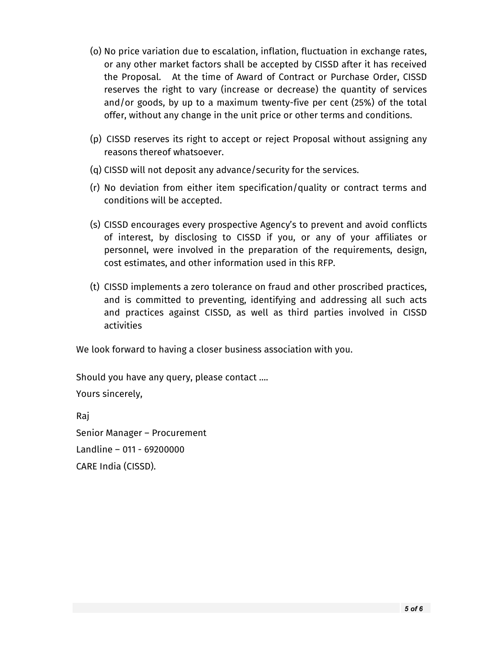- (o) No price variation due to escalation, inflation, fluctuation in exchange rates, or any other market factors shall be accepted by CISSD after it has received the Proposal. At the time of Award of Contract or Purchase Order, CISSD reserves the right to vary (increase or decrease) the quantity of services and/or goods, by up to a maximum twenty-five per cent (25%) of the total offer, without any change in the unit price or other terms and conditions.
- (p) CISSD reserves its right to accept or reject Proposal without assigning any reasons thereof whatsoever.
- (q) CISSD will not deposit any advance/security for the services.
- (r) No deviation from either item specification/quality or contract terms and conditions will be accepted.
- (s) CISSD encourages every prospective Agency's to prevent and avoid conflicts of interest, by disclosing to CISSD if you, or any of your affiliates or personnel, were involved in the preparation of the requirements, design, cost estimates, and other information used in this RFP.
- (t) CISSD implements a zero tolerance on fraud and other proscribed practices, and is committed to preventing, identifying and addressing all such acts and practices against CISSD, as well as third parties involved in CISSD activities

We look forward to having a closer business association with you.

Should you have any query, please contact …. Yours sincerely, Raj

Senior Manager – Procurement Landline – 011 - 69200000 CARE India (CISSD).